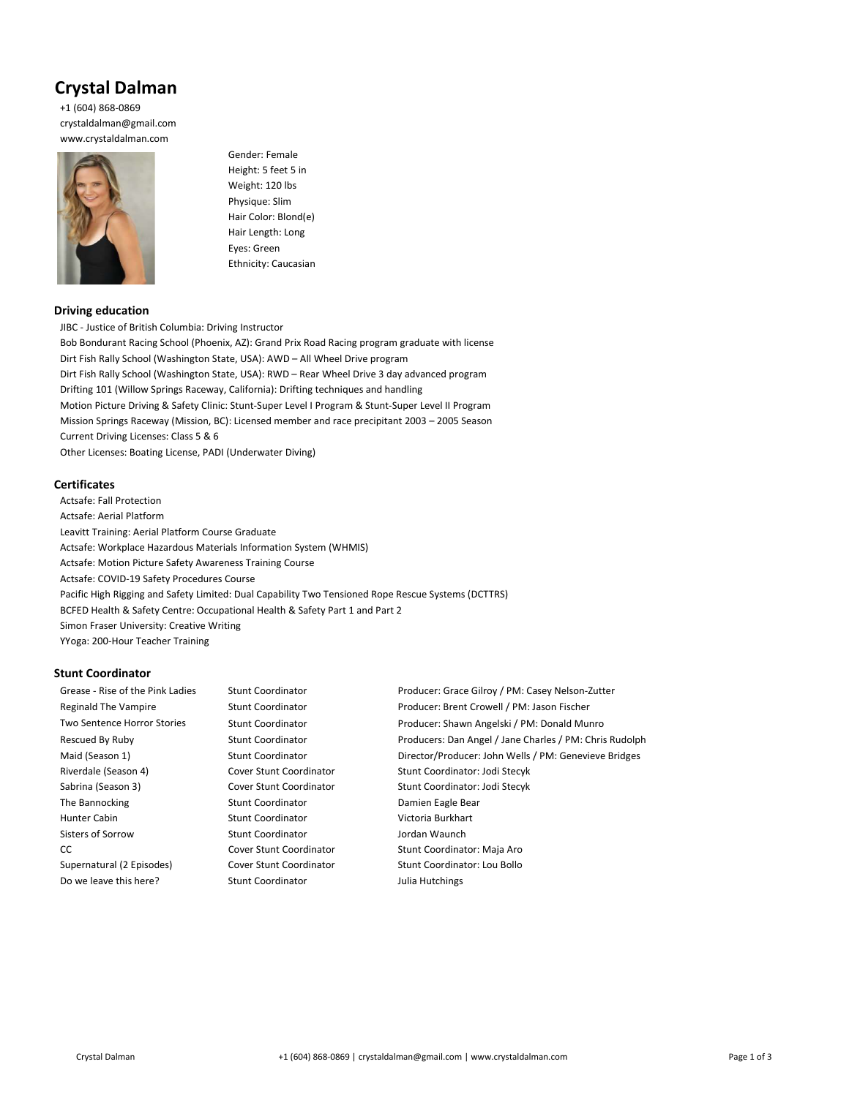# Crystal Dalman

+1 (604) 868-0869 crystaldalman@gmail.com www.crystaldalman.com



Gender: Female Height: 5 feet 5 in Weight: 120 lbs Physique: Slim Hair Color: Blond(e) Hair Length: Long Eyes: Green Ethnicity: Caucasian

# Driving education

JIBC - Justice of British Columbia: Driving Instructor Bob Bondurant Racing School (Phoenix, AZ): Grand Prix Road Racing program graduate with license Dirt Fish Rally School (Washington State, USA): AWD – All Wheel Drive program Dirt Fish Rally School (Washington State, USA): RWD – Rear Wheel Drive 3 day advanced program Drifting 101 (Willow Springs Raceway, California): Drifting techniques and handling Motion Picture Driving & Safety Clinic: Stunt-Super Level I Program & Stunt-Super Level II Program Mission Springs Raceway (Mission, BC): Licensed member and race precipitant 2003 – 2005 Season Current Driving Licenses: Class 5 & 6 Other Licenses: Boating License, PADI (Underwater Diving)

## **Certificates**

Actsafe: Fall Protection Actsafe: Aerial Platform Leavitt Training: Aerial Platform Course Graduate Actsafe: Workplace Hazardous Materials Information System (WHMIS) Actsafe: Motion Picture Safety Awareness Training Course Actsafe: COVID-19 Safety Procedures Course Pacific High Rigging and Safety Limited: Dual Capability Two Tensioned Rope Rescue Systems (DCTTRS) BCFED Health & Safety Centre: Occupational Health & Safety Part 1 and Part 2 Simon Fraser University: Creative Writing YYoga: 200-Hour Teacher Training

## Stunt Coordinator

Riverdale (Season 4) Cover Stunt Coordinator Stunt Coordinator: Jodi Stecyk Sabrina (Season 3) Cover Stunt Coordinator Stunt Coordinator: Jodi Stecyk The Bannocking The Bannocking Stunt Coordinator Constanting Damien Eagle Bear Hunter Cabin Stunt Coordinator Victoria Burkhart Sisters of Sorrow Stunt Coordinator Stunt Coordinator and Jordan Waunch CC Cover Stunt Coordinator Stunt Coordinator: Maja Aro Supernatural (2 Episodes) Cover Stunt Coordinator Stunt Coordinator: Lou Bollo Do we leave this here? Stunt Coordinator Sullia Hutchings

Grease - Rise of the Pink Ladies Stunt Coordinator Stunt Coordinator Producer: Grace Gilroy / PM: Casey Nelson-Zutter Reginald The Vampire Stunt Coordinator Froducer: Brent Crowell / PM: Jason Fischer Two Sentence Horror Stories Stunt Coordinator Producer: Shawn Angelski / PM: Donald Munro Rescued By Ruby Stunt Coordinator Producers: Dan Angel / Jane Charles / PM: Chris Rudolph Maid (Season 1) Stunt Coordinator Director/Producer: John Wells / PM: Genevieve Bridges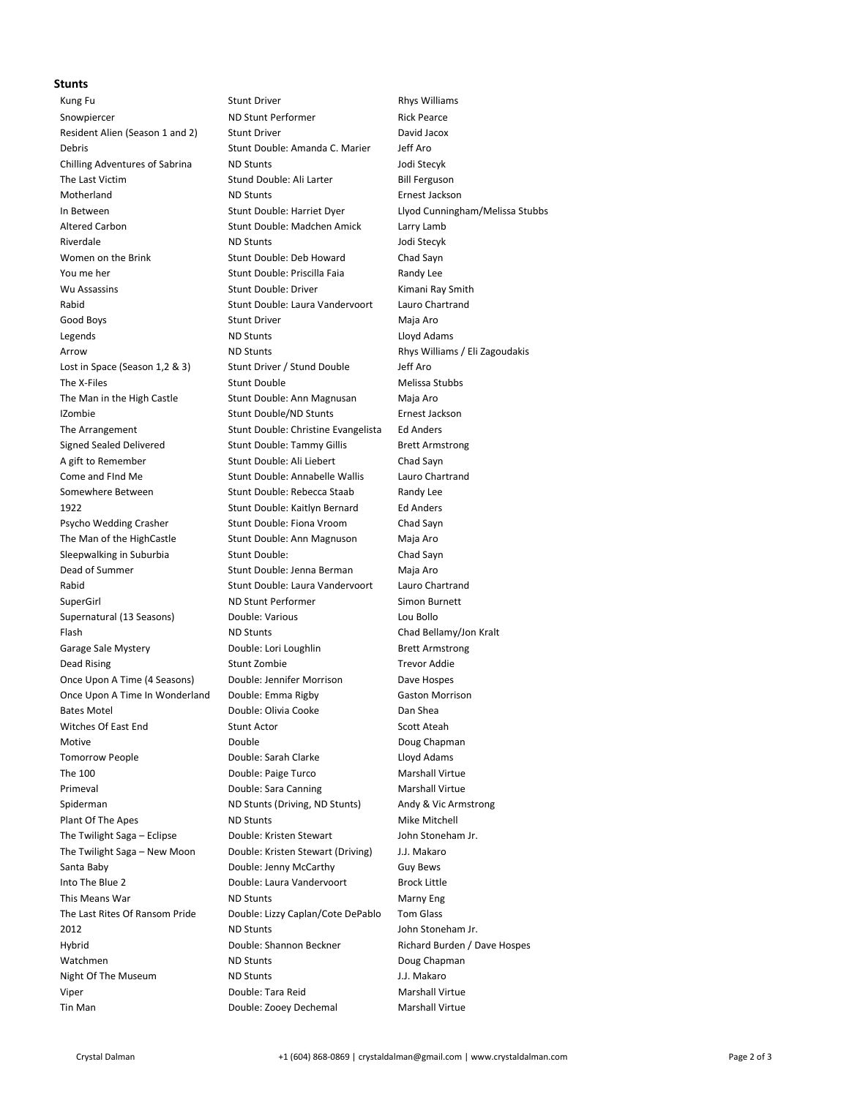#### Stunts

Tin Man **Notain Communist Communist Communist Communist Communist Communist Communist Communist Communist Communist Communist Communist Communist Communist Communist Communist Communist Communist Communist Communist Commun** 

Kung Fu **Stunt Driver** Communications Communications Communications Communications Communications Communications Communications Communications Communications Communications Communications Communications Communications Comm Snowpiercer ND Stunt Performer Rick Pearce Resident Alien (Season 1 and 2) Stunt Driver Stunt Driver David Jacox Debris Stunt Double: Amanda C. Marier Jeff Aro Chilling Adventures of Sabrina ND Stunts Jodi Stecyk The Last Victim Stund Double: Ali Larter Bill Ferguson Motherland ND Stunts Ernest Jackson In Between Stunt Double: Harriet Dyer Llyod Cunningham/Melissa Stubbs Altered Carbon Stunt Double: Madchen Amick Larry Lamb Riverdale ND Stunts ND Stunts and American Stecyk Women on the Brink Stunt Double: Deb Howard Chad Sayn You me her Stunt Double: Priscilla Faia Randy Lee Wu Assassins **Stunt Double: Driver Many Stunt Double:** Driver Kimani Ray Smith Rabid Stunt Double: Laura Vandervoort Lauro Chartrand Good Boys **Stunt Driver** Cood Boys **Maja Aro** Legends **ND Stunts** ND Stunts **CONTERNATION** Arrow **ND Stunts** Rhys Williams / Eli Zagoudakis Rhys Williams / Eli Zagoudakis Lost in Space (Season 1,2 & 3) Stunt Driver / Stund Double Jeff Aro The X-Files Stunt Double Communications of the X-Files Stubbs Stunt Double The Man in the High Castle Stunt Double: Ann Magnusan Maja Aro IZombie Stunt Double/ND Stunts Ernest Jackson The Arrangement Stunt Double: Christine Evangelista Ed Anders Signed Sealed Delivered Stunt Double: Tammy Gillis Brett Armstrong A gift to Remember Stunt Double: Ali Liebert Chad Sayn Come and FInd Me Stunt Double: Annabelle Wallis Lauro Chartrand Somewhere Between Stunt Double: Rebecca Staab Randy Lee 1922 Stunt Double: Kaitlyn Bernard Ed Anders Psycho Wedding Crasher Stunt Double: Fiona Vroom Chad Sayn The Man of the HighCastle Stunt Double: Ann Magnuson Maja Aro Sleepwalking in Suburbia Stunt Double: Chad Sayn Dead of Summer Stunt Double: Jenna Berman Maja Aro Rabid Stunt Double: Laura Vandervoort Lauro Chartrand SuperGirl **ND Stunt Performer** Simon Burnett Supernatural (13 Seasons) Double: Various Lou Bollo Flash ND Stunts Chad Bellamy/Jon Kralt Garage Sale Mystery **Double:** Lori Loughlin Brett Armstrong Dead Rising Trevor Addie Stunt Zombie Trevor Addie Once Upon A Time (4 Seasons) Double: Jennifer Morrison Dave Hospes Once Upon A Time In Wonderland Double: Emma Rigby Gaston Morrison Bates Motel **Double:** Olivia Cooke **Dan Shea** Witches Of East End Stunt Actor Scott Ateah Stunt Actor Scott Ateah Motive **Double** Double **Double** Doug Chapman Tomorrow People **Conserverse Double: Sarah Clarke** Lloyd Adams The 100 **Double: Paige Turco** Marshall Virtue Primeval **Double:** Sara Canning Marshall Virtue Spiderman **ND Stunts (Driving, ND Stunts)** Andy & Vic Armstrong Plant Of The Apes ND Stunts ND Stunts Mike Mitchell The Twilight Saga – Eclipse **Double: Kristen Stewart** John Stoneham Jr. The Twilight Saga – New Moon Double: Kristen Stewart (Driving) J.J. Makaro Santa Baby **Double: Jenny McCarthy** Guy Bews Into The Blue 2 Double: Laura Vandervoort Brock Little This Means War North Communist Communist Communist Marny Eng Narny Eng The Last Rites Of Ransom Pride Double: Lizzy Caplan/Cote DePablo Tom Glass 2012 **ND Stunts ND Stunts COLL John Stoneham Jr.** Hybrid Double: Shannon Beckner Richard Burden / Dave Hospes Watchmen ND Stunts ND Stunts Doug Chapman Night Of The Museum ND Stunts ND Stunts J.J. Makaro Viper Double: Tara Reid Marshall Virtue